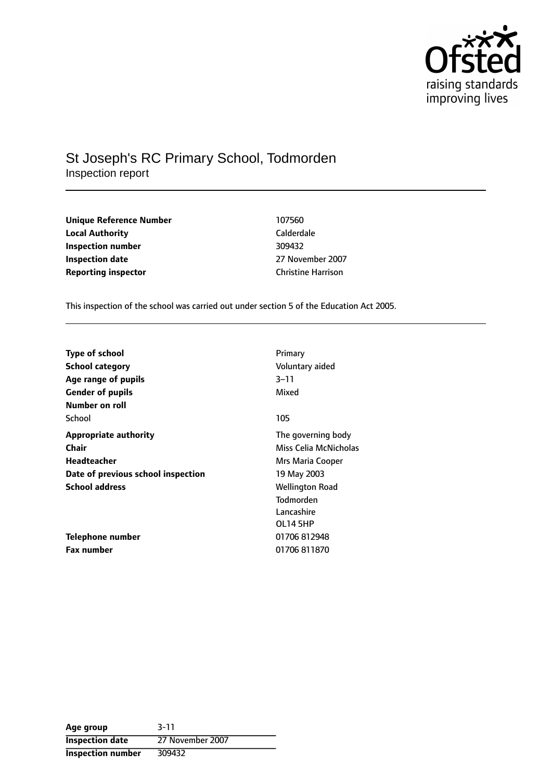

## St Joseph's RC Primary School, Todmorden Inspection report

| 107560                    |
|---------------------------|
| Calderdale                |
| 309432                    |
| 27 November 2007          |
| <b>Christine Harrison</b> |
|                           |

**Unique Reference Number** 107560 **Calderdale Inspection number** 309432 **Inspection date** 27 November 2007

This inspection of the school was carried out under section 5 of the Education Act 2005.

| <b>Type of school</b>              | Primary                |
|------------------------------------|------------------------|
| <b>School category</b>             | Voluntary aided        |
| Age range of pupils                | 3–11                   |
| <b>Gender of pupils</b>            | Mixed                  |
| Number on roll                     |                        |
| School                             | 105                    |
| <b>Appropriate authority</b>       | The governing body     |
| <b>Chair</b>                       | Miss Celia McNicholas  |
| Headteacher                        | Mrs Maria Cooper       |
| Date of previous school inspection | 19 May 2003            |
| <b>School address</b>              | <b>Wellington Road</b> |
|                                    | <b>Todmorden</b>       |
|                                    | Lancashire             |
|                                    | OL14 5HP               |
| Telephone number                   | 01706 812948           |
| <b>Fax number</b>                  | 01706811870            |

| Age group                | $3 - 11$         |
|--------------------------|------------------|
| <b>Inspection date</b>   | 27 November 2007 |
| <b>Inspection number</b> | 309432           |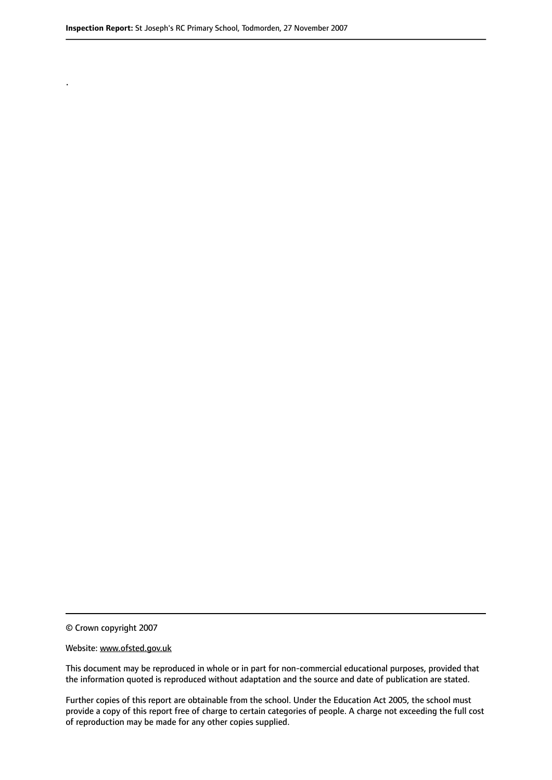.

© Crown copyright 2007

#### Website: www.ofsted.gov.uk

This document may be reproduced in whole or in part for non-commercial educational purposes, provided that the information quoted is reproduced without adaptation and the source and date of publication are stated.

Further copies of this report are obtainable from the school. Under the Education Act 2005, the school must provide a copy of this report free of charge to certain categories of people. A charge not exceeding the full cost of reproduction may be made for any other copies supplied.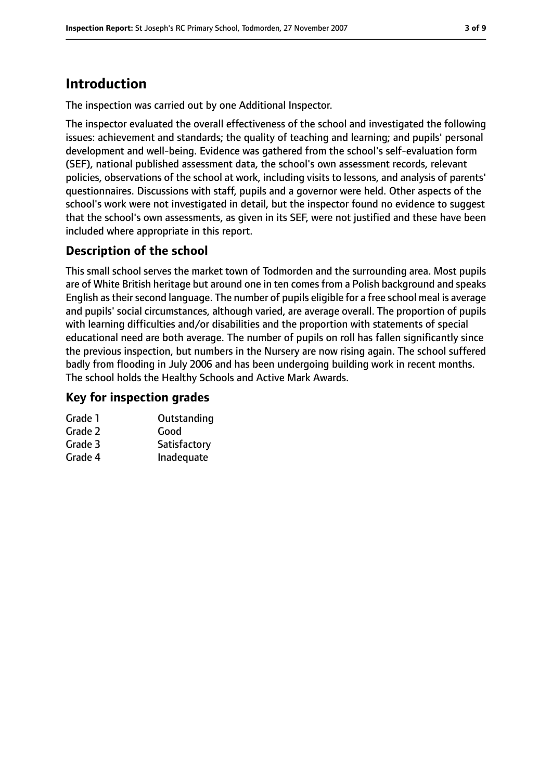# **Introduction**

The inspection was carried out by one Additional Inspector.

The inspector evaluated the overall effectiveness of the school and investigated the following issues: achievement and standards; the quality of teaching and learning; and pupils' personal development and well-being. Evidence was gathered from the school's self-evaluation form (SEF), national published assessment data, the school's own assessment records, relevant policies, observations of the school at work, including visits to lessons, and analysis of parents' questionnaires. Discussions with staff, pupils and a governor were held. Other aspects of the school's work were not investigated in detail, but the inspector found no evidence to suggest that the school's own assessments, as given in its SEF, were not justified and these have been included where appropriate in this report.

## **Description of the school**

This small school serves the market town of Todmorden and the surrounding area. Most pupils are of White British heritage but around one in ten comes from a Polish background and speaks English as their second language. The number of pupils eligible for a free school meal is average and pupils' social circumstances, although varied, are average overall. The proportion of pupils with learning difficulties and/or disabilities and the proportion with statements of special educational need are both average. The number of pupils on roll has fallen significantly since the previous inspection, but numbers in the Nursery are now rising again. The school suffered badly from flooding in July 2006 and has been undergoing building work in recent months. The school holds the Healthy Schools and Active Mark Awards.

#### **Key for inspection grades**

| Grade 1 | Outstanding  |
|---------|--------------|
| Grade 2 | Good         |
| Grade 3 | Satisfactory |
| Grade 4 | Inadequate   |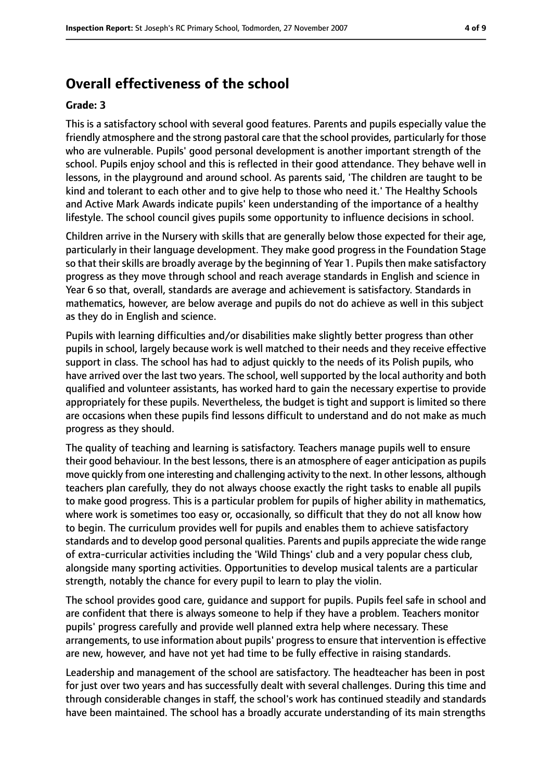## **Overall effectiveness of the school**

#### **Grade: 3**

This is a satisfactory school with several good features. Parents and pupils especially value the friendly atmosphere and the strong pastoral care that the school provides, particularly for those who are vulnerable. Pupils' good personal development is another important strength of the school. Pupils enjoy school and this is reflected in their good attendance. They behave well in lessons, in the playground and around school. As parents said, 'The children are taught to be kind and tolerant to each other and to give help to those who need it.' The Healthy Schools and Active Mark Awards indicate pupils' keen understanding of the importance of a healthy lifestyle. The school council gives pupils some opportunity to influence decisions in school.

Children arrive in the Nursery with skills that are generally below those expected for their age, particularly in their language development. They make good progress in the Foundation Stage so that their skills are broadly average by the beginning of Year 1. Pupils then make satisfactory progress as they move through school and reach average standards in English and science in Year 6 so that, overall, standards are average and achievement is satisfactory. Standards in mathematics, however, are below average and pupils do not do achieve as well in this subject as they do in English and science.

Pupils with learning difficulties and/or disabilities make slightly better progress than other pupils in school, largely because work is well matched to their needs and they receive effective support in class. The school has had to adjust quickly to the needs of its Polish pupils, who have arrived over the last two years. The school, well supported by the local authority and both qualified and volunteer assistants, has worked hard to gain the necessary expertise to provide appropriately for these pupils. Nevertheless, the budget is tight and support is limited so there are occasions when these pupils find lessons difficult to understand and do not make as much progress as they should.

The quality of teaching and learning is satisfactory. Teachers manage pupils well to ensure their good behaviour. In the best lessons, there is an atmosphere of eager anticipation as pupils move quickly from one interesting and challenging activity to the next. In other lessons, although teachers plan carefully, they do not always choose exactly the right tasks to enable all pupils to make good progress. This is a particular problem for pupils of higher ability in mathematics, where work is sometimes too easy or, occasionally, so difficult that they do not all know how to begin. The curriculum provides well for pupils and enables them to achieve satisfactory standards and to develop good personal qualities. Parents and pupils appreciate the wide range of extra-curricular activities including the 'Wild Things' club and a very popular chess club, alongside many sporting activities. Opportunities to develop musical talents are a particular strength, notably the chance for every pupil to learn to play the violin.

The school provides good care, guidance and support for pupils. Pupils feel safe in school and are confident that there is always someone to help if they have a problem. Teachers monitor pupils' progress carefully and provide well planned extra help where necessary. These arrangements, to use information about pupils' progressto ensure that intervention is effective are new, however, and have not yet had time to be fully effective in raising standards.

Leadership and management of the school are satisfactory. The headteacher has been in post for just over two years and has successfully dealt with several challenges. During this time and through considerable changes in staff, the school's work has continued steadily and standards have been maintained. The school has a broadly accurate understanding of its main strengths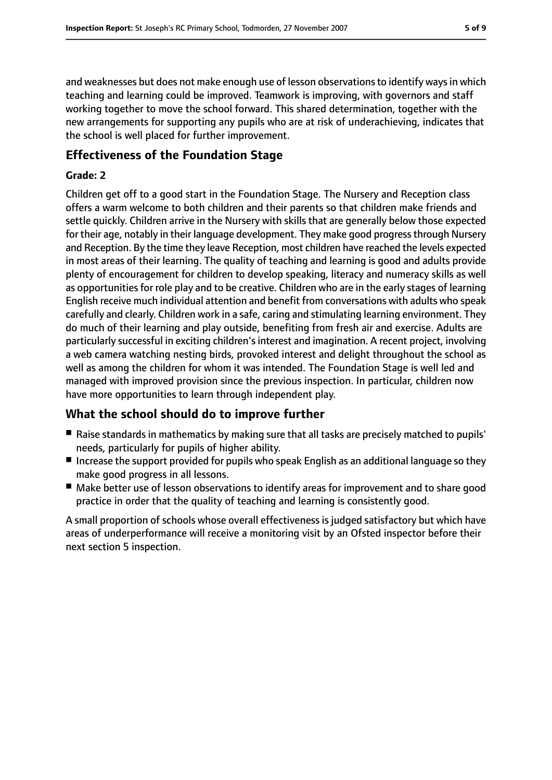and weaknesses but does not make enough use of lesson observations to identify ways in which teaching and learning could be improved. Teamwork is improving, with governors and staff working together to move the school forward. This shared determination, together with the new arrangements for supporting any pupils who are at risk of underachieving, indicates that the school is well placed for further improvement.

#### **Effectiveness of the Foundation Stage**

#### **Grade: 2**

Children get off to a good start in the Foundation Stage. The Nursery and Reception class offers a warm welcome to both children and their parents so that children make friends and settle quickly. Children arrive in the Nursery with skills that are generally below those expected for their age, notably in their language development. They make good progress through Nursery and Reception. By the time they leave Reception, most children have reached the levels expected in most areas of their learning. The quality of teaching and learning is good and adults provide plenty of encouragement for children to develop speaking, literacy and numeracy skills as well as opportunities for role play and to be creative. Children who are in the early stages of learning English receive much individual attention and benefit from conversations with adults who speak carefully and clearly. Children work in a safe, caring and stimulating learning environment. They do much of their learning and play outside, benefiting from fresh air and exercise. Adults are particularly successful in exciting children's interest and imagination. A recent project, involving a web camera watching nesting birds, provoked interest and delight throughout the school as well as among the children for whom it was intended. The Foundation Stage is well led and managed with improved provision since the previous inspection. In particular, children now have more opportunities to learn through independent play.

## **What the school should do to improve further**

- Raise standards in mathematics by making sure that all tasks are precisely matched to pupils' needs, particularly for pupils of higher ability.
- Increase the support provided for pupils who speak English as an additional language so they make good progress in all lessons.
- Make better use of lesson observations to identify areas for improvement and to share good practice in order that the quality of teaching and learning is consistently good.

A small proportion of schools whose overall effectiveness is judged satisfactory but which have areas of underperformance will receive a monitoring visit by an Ofsted inspector before their next section 5 inspection.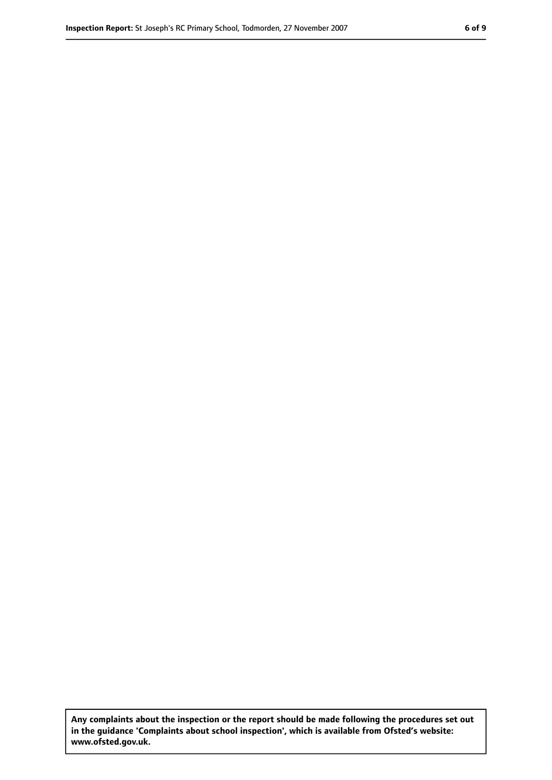**Any complaints about the inspection or the report should be made following the procedures set out in the guidance 'Complaints about school inspection', which is available from Ofsted's website: www.ofsted.gov.uk.**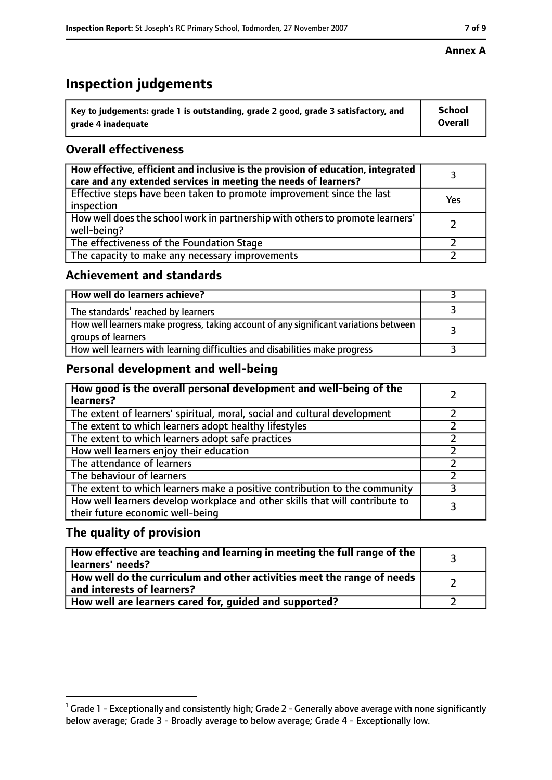# **Inspection judgements**

| $^{\backprime}$ Key to judgements: grade 1 is outstanding, grade 2 good, grade 3 satisfactory, and | <b>School</b>  |
|----------------------------------------------------------------------------------------------------|----------------|
| arade 4 inadequate                                                                                 | <b>Overall</b> |

## **Overall effectiveness**

| How effective, efficient and inclusive is the provision of education, integrated<br>care and any extended services in meeting the needs of learners? |     |
|------------------------------------------------------------------------------------------------------------------------------------------------------|-----|
| Effective steps have been taken to promote improvement since the last<br>inspection                                                                  | Yes |
| How well does the school work in partnership with others to promote learners'<br>well-being?                                                         |     |
| The effectiveness of the Foundation Stage                                                                                                            |     |
| The capacity to make any necessary improvements                                                                                                      |     |

#### **Achievement and standards**

| How well do learners achieve?                                                                               |  |
|-------------------------------------------------------------------------------------------------------------|--|
| The standards <sup>1</sup> reached by learners                                                              |  |
| How well learners make progress, taking account of any significant variations between<br>groups of learners |  |
| How well learners with learning difficulties and disabilities make progress                                 |  |

## **Personal development and well-being**

| How good is the overall personal development and well-being of the<br>learners?                                  |  |
|------------------------------------------------------------------------------------------------------------------|--|
| The extent of learners' spiritual, moral, social and cultural development                                        |  |
| The extent to which learners adopt healthy lifestyles                                                            |  |
| The extent to which learners adopt safe practices                                                                |  |
| How well learners enjoy their education                                                                          |  |
| The attendance of learners                                                                                       |  |
| The behaviour of learners                                                                                        |  |
| The extent to which learners make a positive contribution to the community                                       |  |
| How well learners develop workplace and other skills that will contribute to<br>their future economic well-being |  |

## **The quality of provision**

| How effective are teaching and learning in meeting the full range of the<br>learners' needs?          |  |
|-------------------------------------------------------------------------------------------------------|--|
| How well do the curriculum and other activities meet the range of needs<br>and interests of learners? |  |
| How well are learners cared for, guided and supported?                                                |  |

#### **Annex A**

 $^1$  Grade 1 - Exceptionally and consistently high; Grade 2 - Generally above average with none significantly below average; Grade 3 - Broadly average to below average; Grade 4 - Exceptionally low.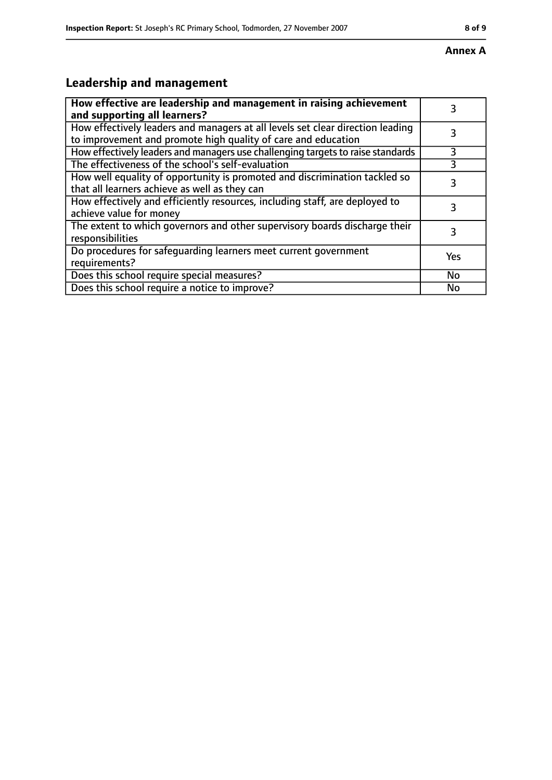# **Leadership and management**

| How effective are leadership and management in raising achievement<br>and supporting all learners?                                              | 3         |
|-------------------------------------------------------------------------------------------------------------------------------------------------|-----------|
| How effectively leaders and managers at all levels set clear direction leading<br>to improvement and promote high quality of care and education |           |
| How effectively leaders and managers use challenging targets to raise standards                                                                 | 3         |
| The effectiveness of the school's self-evaluation                                                                                               |           |
| How well equality of opportunity is promoted and discrimination tackled so<br>that all learners achieve as well as they can                     | 3         |
| How effectively and efficiently resources, including staff, are deployed to<br>achieve value for money                                          | 3         |
| The extent to which governors and other supervisory boards discharge their<br>responsibilities                                                  | 3         |
| Do procedures for safequarding learners meet current government<br>requirements?                                                                | Yes       |
| Does this school require special measures?                                                                                                      | <b>No</b> |
| Does this school require a notice to improve?                                                                                                   | No        |